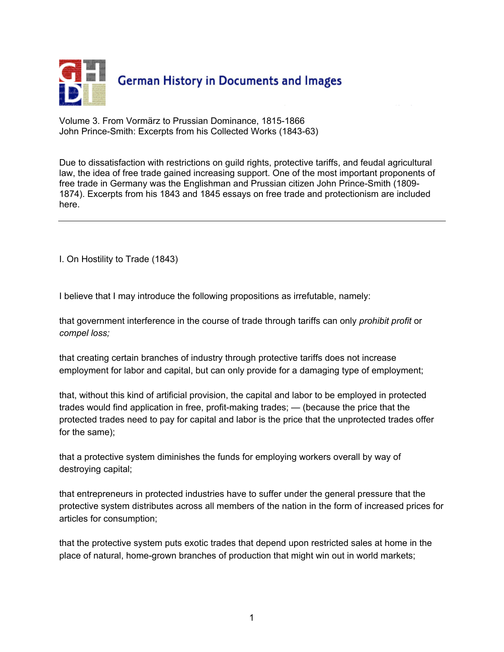

Volume 3. From Vormärz to Prussian Dominance, 1815-1866 John Prince-Smith: Excerpts from his Collected Works (1843-63)

Due to dissatisfaction with restrictions on guild rights, protective tariffs, and feudal agricultural law, the idea of free trade gained increasing support. One of the most important proponents of free trade in Germany was the Englishman and Prussian citizen John Prince-Smith (1809- 1874). Excerpts from his 1843 and 1845 essays on free trade and protectionism are included here.

I. On Hostility to Trade (1843)

I believe that I may introduce the following propositions as irrefutable, namely:

that government interference in the course of trade through tariffs can only *prohibit profit* or *compel loss;*

that creating certain branches of industry through protective tariffs does not increase employment for labor and capital, but can only provide for a damaging type of employment;

that, without this kind of artificial provision, the capital and labor to be employed in protected trades would find application in free, profit-making trades; — (because the price that the protected trades need to pay for capital and labor is the price that the unprotected trades offer for the same);

that a protective system diminishes the funds for employing workers overall by way of destroying capital;

that entrepreneurs in protected industries have to suffer under the general pressure that the protective system distributes across all members of the nation in the form of increased prices for articles for consumption;

that the protective system puts exotic trades that depend upon restricted sales at home in the place of natural, home-grown branches of production that might win out in world markets;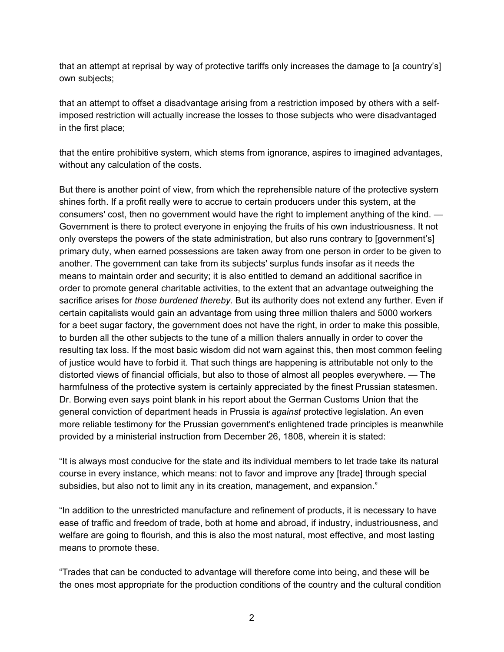that an attempt at reprisal by way of protective tariffs only increases the damage to [a country's] own subjects;

that an attempt to offset a disadvantage arising from a restriction imposed by others with a selfimposed restriction will actually increase the losses to those subjects who were disadvantaged in the first place;

that the entire prohibitive system, which stems from ignorance, aspires to imagined advantages, without any calculation of the costs.

But there is another point of view, from which the reprehensible nature of the protective system shines forth. If a profit really were to accrue to certain producers under this system, at the consumers' cost, then no government would have the right to implement anything of the kind. — Government is there to protect everyone in enjoying the fruits of his own industriousness. It not only oversteps the powers of the state administration, but also runs contrary to [government's] primary duty, when earned possessions are taken away from one person in order to be given to another. The government can take from its subjects' surplus funds insofar as it needs the means to maintain order and security; it is also entitled to demand an additional sacrifice in order to promote general charitable activities, to the extent that an advantage outweighing the sacrifice arises for *those burdened thereby*. But its authority does not extend any further. Even if certain capitalists would gain an advantage from using three million thalers and 5000 workers for a beet sugar factory, the government does not have the right, in order to make this possible, to burden all the other subjects to the tune of a million thalers annually in order to cover the resulting tax loss. If the most basic wisdom did not warn against this, then most common feeling of justice would have to forbid it. That such things are happening is attributable not only to the distorted views of financial officials, but also to those of almost all peoples everywhere. — The harmfulness of the protective system is certainly appreciated by the finest Prussian statesmen. Dr. Borwing even says point blank in his report about the German Customs Union that the general conviction of department heads in Prussia is *against* protective legislation. An even more reliable testimony for the Prussian government's enlightened trade principles is meanwhile provided by a ministerial instruction from December 26, 1808, wherein it is stated:

"It is always most conducive for the state and its individual members to let trade take its natural course in every instance, which means: not to favor and improve any [trade] through special subsidies, but also not to limit any in its creation, management, and expansion."

"In addition to the unrestricted manufacture and refinement of products, it is necessary to have ease of traffic and freedom of trade, both at home and abroad, if industry, industriousness, and welfare are going to flourish, and this is also the most natural, most effective, and most lasting means to promote these.

"Trades that can be conducted to advantage will therefore come into being, and these will be the ones most appropriate for the production conditions of the country and the cultural condition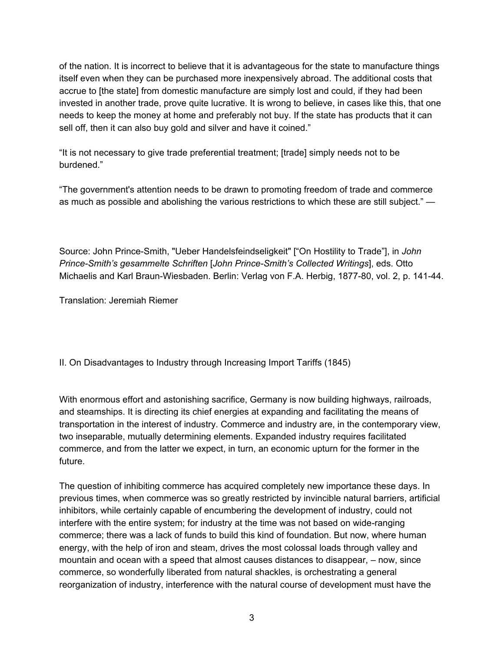of the nation. It is incorrect to believe that it is advantageous for the state to manufacture things itself even when they can be purchased more inexpensively abroad. The additional costs that accrue to [the state] from domestic manufacture are simply lost and could, if they had been invested in another trade, prove quite lucrative. It is wrong to believe, in cases like this, that one needs to keep the money at home and preferably not buy. If the state has products that it can sell off, then it can also buy gold and silver and have it coined."

"It is not necessary to give trade preferential treatment; [trade] simply needs not to be burdened."

"The government's attention needs to be drawn to promoting freedom of trade and commerce as much as possible and abolishing the various restrictions to which these are still subject." —

Source: John Prince-Smith, "Ueber Handelsfeindseligkeit" ["On Hostility to Trade"], in *John Prince-Smith's gesammelte Schriften* [*John Prince-Smith's Collected Writings*], eds. Otto Michaelis and Karl Braun-Wiesbaden. Berlin: Verlag von F.A. Herbig, 1877-80, vol. 2, p. 141-44.

Translation: Jeremiah Riemer

II. On Disadvantages to Industry through Increasing Import Tariffs (1845)

With enormous effort and astonishing sacrifice, Germany is now building highways, railroads, and steamships. It is directing its chief energies at expanding and facilitating the means of transportation in the interest of industry. Commerce and industry are, in the contemporary view, two inseparable, mutually determining elements. Expanded industry requires facilitated commerce, and from the latter we expect, in turn, an economic upturn for the former in the future.

The question of inhibiting commerce has acquired completely new importance these days. In previous times, when commerce was so greatly restricted by invincible natural barriers, artificial inhibitors, while certainly capable of encumbering the development of industry, could not interfere with the entire system; for industry at the time was not based on wide-ranging commerce; there was a lack of funds to build this kind of foundation. But now, where human energy, with the help of iron and steam, drives the most colossal loads through valley and mountain and ocean with a speed that almost causes distances to disappear, – now, since commerce, so wonderfully liberated from natural shackles, is orchestrating a general reorganization of industry, interference with the natural course of development must have the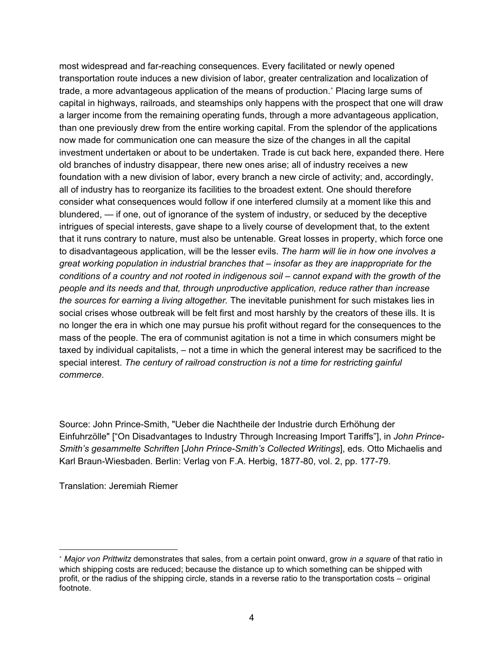most widespread and far-reaching consequences. Every facilitated or newly opened transportation route induces a new division of labor, greater centralization and localization of trade, a more advantageous application of the means of production.<sup>∗</sup> Placing large sums of capital in highways, railroads, and steamships only happens with the prospect that one will draw a larger income from the remaining operating funds, through a more advantageous application, than one previously drew from the entire working capital. From the splendor of the applications now made for communication one can measure the size of the changes in all the capital investment undertaken or about to be undertaken. Trade is cut back here, expanded there. Here old branches of industry disappear, there new ones arise; all of industry receives a new foundation with a new division of labor, every branch a new circle of activity; and, accordingly, all of industry has to reorganize its facilities to the broadest extent. One should therefore consider what consequences would follow if one interfered clumsily at a moment like this and blundered, — if one, out of ignorance of the system of industry, or seduced by the deceptive intrigues of special interests, gave shape to a lively course of development that, to the extent that it runs contrary to nature, must also be untenable. Great losses in property, which force one to disadvantageous application, will be the lesser evils. *The harm will lie in how one involves a great working population in industrial branches that – insofar as they are inappropriate for the conditions of a country and not rooted in indigenous soil – cannot expand with the growth of the people and its needs and that, through unproductive application, reduce rather than increase the sources for earning a living altogether.* The inevitable punishment for such mistakes lies in social crises whose outbreak will be felt first and most harshly by the creators of these ills. It is no longer the era in which one may pursue his profit without regard for the consequences to the mass of the people. The era of communist agitation is not a time in which consumers might be taxed by individual capitalists, *–* not a time in which the general interest may be sacrificed to the special interest. *The century of railroad construction is not a time for restricting gainful commerce*.

Source: John Prince-Smith, "Ueber die Nachtheile der Industrie durch Erhöhung der Einfuhrzölle" ["On Disadvantages to Industry Through Increasing Import Tariffs"], in *John Prince-Smith's gesammelte Schriften* [*John Prince-Smith's Collected Writings*], eds. Otto Michaelis and Karl Braun-Wiesbaden. Berlin: Verlag von F.A. Herbig, 1877-80, vol. 2, pp. 177-79.

Translation: Jeremiah Riemer

 $\overline{a}$ 

<sup>∗</sup> *Major von Prittwitz* demonstrates that sales, from a certain point onward, grow *in a square* of that ratio in which shipping costs are reduced; because the distance up to which something can be shipped with profit, or the radius of the shipping circle, stands in a reverse ratio to the transportation costs – original footnote.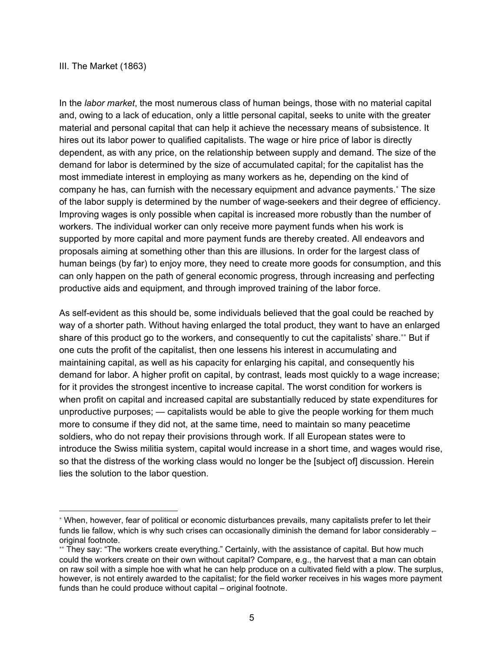## III. The Market (1863)

 $\overline{a}$ 

In the *labor market*, the most numerous class of human beings, those with no material capital and, owing to a lack of education, only a little personal capital, seeks to unite with the greater material and personal capital that can help it achieve the necessary means of subsistence. It hires out its labor power to qualified capitalists. The wage or hire price of labor is directly dependent, as with any price, on the relationship between supply and demand. The size of the demand for labor is determined by the size of accumulated capital; for the capitalist has the most immediate interest in employing as many workers as he, depending on the kind of company he has, can furnish with the necessary equipment and advance payments.<sup>∗</sup> The size of the labor supply is determined by the number of wage-seekers and their degree of efficiency. Improving wages is only possible when capital is increased more robustly than the number of workers. The individual worker can only receive more payment funds when his work is supported by more capital and more payment funds are thereby created. All endeavors and proposals aiming at something other than this are illusions. In order for the largest class of human beings (by far) to enjoy more, they need to create more goods for consumption, and this can only happen on the path of general economic progress, through increasing and perfecting productive aids and equipment, and through improved training of the labor force.

As self-evident as this should be, some individuals believed that the goal could be reached by way of a shorter path. Without having enlarged the total product, they want to have an enlarged share of this product go to the workers, and consequently to cut the capitalists' share.\*\* But if one cuts the profit of the capitalist, then one lessens his interest in accumulating and maintaining capital, as well as his capacity for enlarging his capital, and consequently his demand for labor. A higher profit on capital, by contrast, leads most quickly to a wage increase; for it provides the strongest incentive to increase capital. The worst condition for workers is when profit on capital and increased capital are substantially reduced by state expenditures for unproductive purposes; — capitalists would be able to give the people working for them much more to consume if they did not, at the same time, need to maintain so many peacetime soldiers, who do not repay their provisions through work. If all European states were to introduce the Swiss militia system, capital would increase in a short time, and wages would rise, so that the distress of the working class would no longer be the [subject of] discussion. Herein lies the solution to the labor question.

<sup>∗</sup> When, however, fear of political or economic disturbances prevails, many capitalists prefer to let their funds lie fallow, which is why such crises can occasionally diminish the demand for labor considerably – original footnote.

<sup>∗∗</sup> They say: "The workers create everything." Certainly, with the assistance of capital. But how much could the workers create on their own without capital? Compare, e.g., the harvest that a man can obtain on raw soil with a simple hoe with what he can help produce on a cultivated field with a plow. The surplus, however, is not entirely awarded to the capitalist; for the field worker receives in his wages more payment funds than he could produce without capital – original footnote.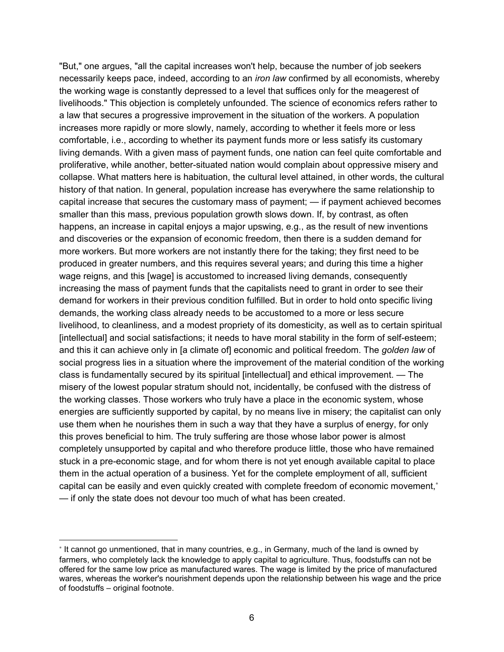"But," one argues, "all the capital increases won't help, because the number of job seekers necessarily keeps pace, indeed, according to an *iron law* confirmed by all economists, whereby the working wage is constantly depressed to a level that suffices only for the meagerest of livelihoods." This objection is completely unfounded. The science of economics refers rather to a law that secures a progressive improvement in the situation of the workers. A population increases more rapidly or more slowly, namely, according to whether it feels more or less comfortable, i.e., according to whether its payment funds more or less satisfy its customary living demands. With a given mass of payment funds, one nation can feel quite comfortable and proliferative, while another, better-situated nation would complain about oppressive misery and collapse. What matters here is habituation, the cultural level attained, in other words, the cultural history of that nation. In general, population increase has everywhere the same relationship to capital increase that secures the customary mass of payment; — if payment achieved becomes smaller than this mass, previous population growth slows down. If, by contrast, as often happens, an increase in capital enjoys a major upswing, e.g., as the result of new inventions and discoveries or the expansion of economic freedom, then there is a sudden demand for more workers. But more workers are not instantly there for the taking; they first need to be produced in greater numbers, and this requires several years; and during this time a higher wage reigns, and this [wage] is accustomed to increased living demands, consequently increasing the mass of payment funds that the capitalists need to grant in order to see their demand for workers in their previous condition fulfilled. But in order to hold onto specific living demands, the working class already needs to be accustomed to a more or less secure livelihood, to cleanliness, and a modest propriety of its domesticity, as well as to certain spiritual [intellectual] and social satisfactions; it needs to have moral stability in the form of self-esteem; and this it can achieve only in [a climate of] economic and political freedom. The *golden law* of social progress lies in a situation where the improvement of the material condition of the working class is fundamentally secured by its spiritual [intellectual] and ethical improvement. — The misery of the lowest popular stratum should not, incidentally, be confused with the distress of the working classes. Those workers who truly have a place in the economic system, whose energies are sufficiently supported by capital, by no means live in misery; the capitalist can only use them when he nourishes them in such a way that they have a surplus of energy, for only this proves beneficial to him. The truly suffering are those whose labor power is almost completely unsupported by capital and who therefore produce little, those who have remained stuck in a pre-economic stage, and for whom there is not yet enough available capital to place them in the actual operation of a business. Yet for the complete employment of all, sufficient capital can be easily and even quickly created with complete freedom of economic movement,<sup>∗</sup> — if only the state does not devour too much of what has been created.

 $\overline{a}$ 

<sup>∗</sup> It cannot go unmentioned, that in many countries, e.g., in Germany, much of the land is owned by farmers, who completely lack the knowledge to apply capital to agriculture. Thus, foodstuffs can not be offered for the same low price as manufactured wares. The wage is limited by the price of manufactured wares, whereas the worker's nourishment depends upon the relationship between his wage and the price of foodstuffs – original footnote.